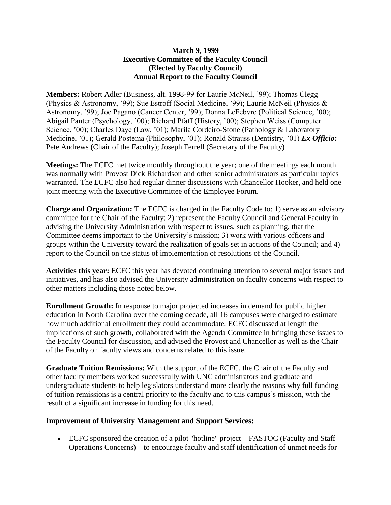## **March 9, 1999 Executive Committee of the Faculty Council (Elected by Faculty Council) Annual Report to the Faculty Council**

**Members:** Robert Adler (Business, alt. 1998-99 for Laurie McNeil, '99); Thomas Clegg (Physics & Astronomy, '99); Sue Estroff (Social Medicine, '99); Laurie McNeil (Physics & Astronomy, '99); Joe Pagano (Cancer Center, '99); Donna LeFebvre (Political Science, '00); Abigail Panter (Psychology, '00); Richard Pfaff (History, '00); Stephen Weiss (Computer Science, '00); Charles Daye (Law, '01); Marila Cordeiro-Stone (Pathology & Laboratory Medicine, '01); Gerald Postema (Philosophy, '01); Ronald Strauss (Dentistry, '01) *Ex Officio:* Pete Andrews (Chair of the Faculty); Joseph Ferrell (Secretary of the Faculty)

**Meetings:** The ECFC met twice monthly throughout the year; one of the meetings each month was normally with Provost Dick Richardson and other senior administrators as particular topics warranted. The ECFC also had regular dinner discussions with Chancellor Hooker, and held one joint meeting with the Executive Committee of the Employee Forum.

**Charge and Organization:** The ECFC is charged in the Faculty Code to: 1) serve as an advisory committee for the Chair of the Faculty; 2) represent the Faculty Council and General Faculty in advising the University Administration with respect to issues, such as planning, that the Committee deems important to the University's mission; 3) work with various officers and groups within the University toward the realization of goals set in actions of the Council; and 4) report to the Council on the status of implementation of resolutions of the Council.

**Activities this year:** ECFC this year has devoted continuing attention to several major issues and initiatives, and has also advised the University administration on faculty concerns with respect to other matters including those noted below.

**Enrollment Growth:** In response to major projected increases in demand for public higher education in North Carolina over the coming decade, all 16 campuses were charged to estimate how much additional enrollment they could accommodate. ECFC discussed at length the implications of such growth, collaborated with the Agenda Committee in bringing these issues to the Faculty Council for discussion, and advised the Provost and Chancellor as well as the Chair of the Faculty on faculty views and concerns related to this issue.

**Graduate Tuition Remissions:** With the support of the ECFC, the Chair of the Faculty and other faculty members worked successfully with UNC administrators and graduate and undergraduate students to help legislators understand more clearly the reasons why full funding of tuition remissions is a central priority to the faculty and to this campus's mission, with the result of a significant increase in funding for this need.

## **Improvement of University Management and Support Services:**

 ECFC sponsored the creation of a pilot "hotline" project—FASTOC (Faculty and Staff Operations Concerns)—to encourage faculty and staff identification of unmet needs for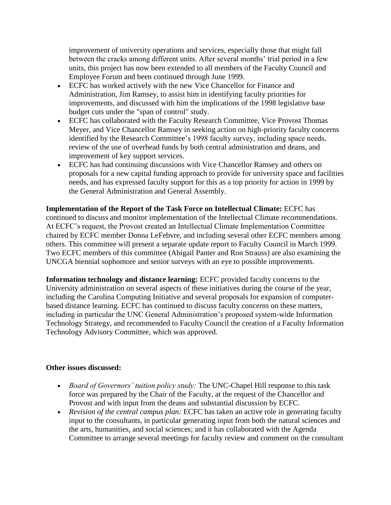improvement of university operations and services, especially those that might fall between the cracks among different units. After several months' trial period in a few units, this project has now been extended to all members of the Faculty Council and Employee Forum and been continued through June 1999.

- ECFC has worked actively with the new Vice Chancellor for Finance and Administration, Jim Ramsey, to assist him in identifying faculty priorities for improvements, and discussed with him the implications of the 1998 legislative base budget cuts under the "span of control" study.
- ECFC has collaborated with the Faculty Research Committee, Vice Provost Thomas Meyer, and Vice Chancellor Ramsey in seeking action on high-priority faculty concerns identified by the Research Committee's 1998 faculty survey, including space needs, review of the use of overhead funds by both central administration and deans, and improvement of key support services.
- ECFC has had continuing discussions with Vice Chancellor Ramsey and others on proposals for a new capital funding approach to provide for university space and facilities needs, and has expressed faculty support for this as a top priority for action in 1999 by the General Administration and General Assembly.

**Implementation of the Report of the Task Force on Intellectual Climate:** ECFC has continued to discuss and monitor implementation of the Intellectual Climate recommendations. At ECFC's request, the Provost created an Intellectual Climate Implementation Committee chaired by ECFC member Donna LeFebvre, and including several other ECFC members among others. This committee will present a separate update report to Faculty Council in March 1999. Two ECFC members of this committee (Abigail Panter and Ron Strauss) are also examining the UNCGA biennial sophomore and senior surveys with an eye to possible improvements.

**Information technology and distance learning:** ECFC provided faculty concerns to the University administration on several aspects of these initiatives during the course of the year, including the Carolina Computing Initiative and several proposals for expansion of computerbased distance learning. ECFC has continued to discuss faculty concerns on these matters, including in particular the UNC General Administration's proposed system-wide Information Technology Strategy, and recommended to Faculty Council the creation of a Faculty Information Technology Advisory Committee, which was approved.

## **Other issues discussed:**

- *Board of Governors' tuition policy study:* The UNC-Chapel Hill response to this task force was prepared by the Chair of the Faculty, at the request of the Chancellor and Provost and with input from the deans and substantial discussion by ECFC.
- *Revision of the central campus plan:* ECFC has taken an active role in generating faculty input to the consultants, in particular generating input from both the natural sciences and the arts, humanities, and social sciences; and it has collaborated with the Agenda Committee to arrange several meetings for faculty review and comment on the consultant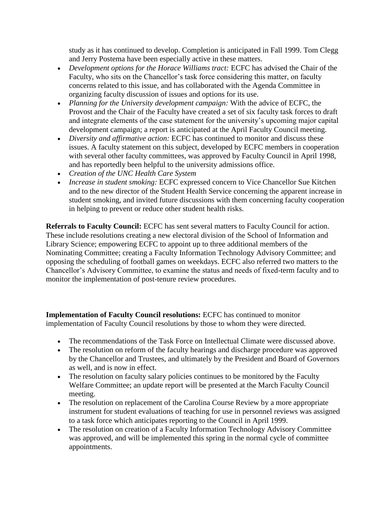study as it has continued to develop. Completion is anticipated in Fall 1999. Tom Clegg and Jerry Postema have been especially active in these matters.

- Development options for the Horace Williams tract: ECFC has advised the Chair of the Faculty, who sits on the Chancellor's task force considering this matter, on faculty concerns related to this issue, and has collaborated with the Agenda Committee in organizing faculty discussion of issues and options for its use.
- *Planning for the University development campaign:* With the advice of ECFC, the Provost and the Chair of the Faculty have created a set of six faculty task forces to draft and integrate elements of the case statement for the university's upcoming major capital development campaign; a report is anticipated at the April Faculty Council meeting.
- *Diversity and affirmative action:* ECFC has continued to monitor and discuss these issues. A faculty statement on this subject, developed by ECFC members in cooperation with several other faculty committees, was approved by Faculty Council in April 1998, and has reportedly been helpful to the university admissions office.
- *Creation of the UNC Health Care System*
- *Increase in student smoking:* ECFC expressed concern to Vice Chancellor Sue Kitchen and to the new director of the Student Health Service concerning the apparent increase in student smoking, and invited future discussions with them concerning faculty cooperation in helping to prevent or reduce other student health risks.

**Referrals to Faculty Council:** ECFC has sent several matters to Faculty Council for action. These include resolutions creating a new electoral division of the School of Information and Library Science; empowering ECFC to appoint up to three additional members of the Nominating Committee; creating a Faculty Information Technology Advisory Committee; and opposing the scheduling of football games on weekdays. ECFC also referred two matters to the Chancellor's Advisory Committee, to examine the status and needs of fixed-term faculty and to monitor the implementation of post-tenure review procedures.

**Implementation of Faculty Council resolutions:** ECFC has continued to monitor implementation of Faculty Council resolutions by those to whom they were directed.

- The recommendations of the Task Force on Intellectual Climate were discussed above.
- The resolution on reform of the faculty hearings and discharge procedure was approved by the Chancellor and Trustees, and ultimately by the President and Board of Governors as well, and is now in effect.
- The resolution on faculty salary policies continues to be monitored by the Faculty Welfare Committee; an update report will be presented at the March Faculty Council meeting.
- The resolution on replacement of the Carolina Course Review by a more appropriate instrument for student evaluations of teaching for use in personnel reviews was assigned to a task force which anticipates reporting to the Council in April 1999.
- The resolution on creation of a Faculty Information Technology Advisory Committee was approved, and will be implemented this spring in the normal cycle of committee appointments.